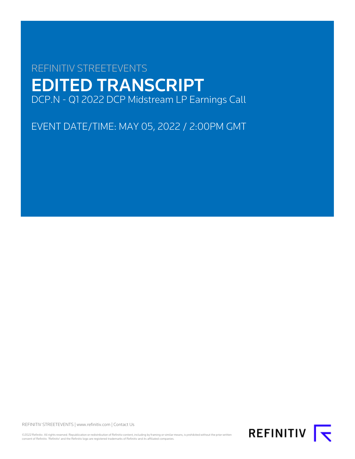# REFINITIV STREETEVENTS EDITED TRANSCRIPT DCP.N - Q1 2022 DCP Midstream LP Earnings Call

EVENT DATE/TIME: MAY 05, 2022 / 2:00PM GMT

REFINITIV STREETEVENTS | [www.refinitiv.com](https://www.refinitiv.com/) | [Contact Us](https://www.refinitiv.com/en/contact-us)

©2022 Refinitiv. All rights reserved. Republication or redistribution of Refinitiv content, including by framing or similar means, is prohibited without the prior written<br>consent of Refinitiv. 'Refinitiv' and the Refinitiv

REFINITIV **I**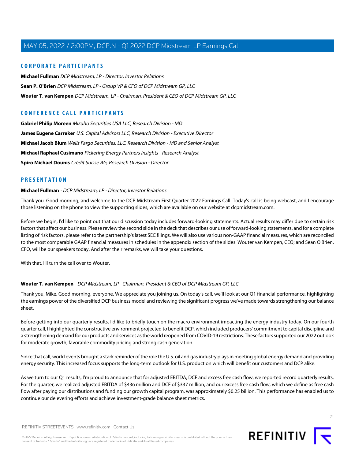## **CORPORATE PARTICIPANTS**

**[Michael Fullman](#page-1-0)** DCP Midstream, LP - Director, Investor Relations **[Sean P. O'Brien](#page-2-0)** DCP Midstream, LP - Group VP & CFO of DCP Midstream GP, LLC **[Wouter T. van Kempen](#page-1-1)** DCP Midstream, LP - Chairman, President & CEO of DCP Midstream GP, LLC

## **CONFERENCE CALL PARTICIPANTS**

**[Gabriel Philip Moreen](#page-6-0)** Mizuho Securities USA LLC, Research Division - MD **[James Eugene Carreker](#page-9-0)** U.S. Capital Advisors LLC, Research Division - Executive Director **[Michael Jacob Blum](#page-5-0)** Wells Fargo Securities, LLC, Research Division - MD and Senior Analyst **[Michael Raphael Cusimano](#page-8-0)** Pickering Energy Partners Insights - Research Analyst **[Spiro Michael Dounis](#page-4-0)** Crédit Suisse AG, Research Division - Director

## <span id="page-1-0"></span>**PRESENTATION**

#### **Michael Fullman** - DCP Midstream, LP - Director, Investor Relations

Thank you. Good morning, and welcome to the DCP Midstream First Quarter 2022 Earnings Call. Today's call is being webcast, and I encourage those listening on the phone to view the supporting slides, which are available on our website at dcpmidstream.com.

Before we begin, I'd like to point out that our discussion today includes forward-looking statements. Actual results may differ due to certain risk factors that affect our business. Please review the second slide in the deck that describes our use of forward-looking statements, and for a complete listing of risk factors, please refer to the partnership's latest SEC filings. We will also use various non-GAAP financial measures, which are reconciled to the most comparable GAAP financial measures in schedules in the appendix section of the slides. Wouter van Kempen, CEO; and Sean O'Brien, CFO, will be our speakers today. And after their remarks, we will take your questions.

<span id="page-1-1"></span>With that, I'll turn the call over to Wouter.

#### **Wouter T. van Kempen** - DCP Midstream, LP - Chairman, President & CEO of DCP Midstream GP, LLC

Thank you, Mike. Good morning, everyone. We appreciate you joining us. On today's call, we'll look at our Q1 financial performance, highlighting the earnings power of the diversified DCP business model and reviewing the significant progress we've made towards strengthening our balance sheet.

Before getting into our quarterly results, I'd like to briefly touch on the macro environment impacting the energy industry today. On our fourth quarter call, I highlighted the constructive environment projected to benefit DCP, which included producers' commitment to capital discipline and a strengthening demand for our products and services as the world reopened from COVID-19 restrictions. These factors supported our 2022 outlook for moderate growth, favorable commodity pricing and strong cash generation.

Since that call, world events brought a stark reminder of the role the U.S. oil and gas industry plays in meeting global energy demand and providing energy security. This increased focus supports the long-term outlook for U.S. production which will benefit our customers and DCP alike.

As we turn to our Q1 results, I'm proud to announce that for adjusted EBITDA, DCF and excess free cash flow, we reported record quarterly results. For the quarter, we realized adjusted EBITDA of \$436 million and DCF of \$337 million, and our excess free cash flow, which we define as free cash flow after paying our distributions and funding our growth capital program, was approximately \$0.25 billion. This performance has enabled us to continue our delevering efforts and achieve investment-grade balance sheet metrics.

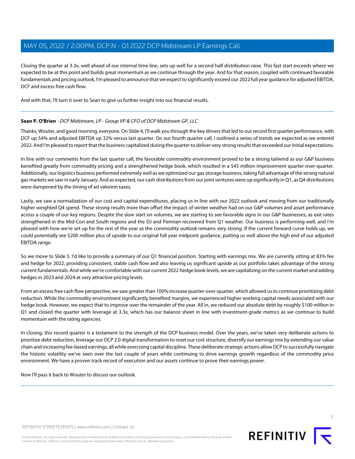Closing the quarter at 3.3x, well ahead of our internal time line, sets up well for a second half distribution raise. This fast start exceeds where we expected to be at this point and builds great momentum as we continue through the year. And for that reason, coupled with continued favorable fundamentals and pricing outlook, I'm pleased to announce that we expect to significantly exceed our 2022 full year guidance for adjusted EBITDA, DCF and excess free cash flow.

<span id="page-2-0"></span>And with that, I'll turn it over to Sean to give us further insight into our financial results.

#### **Sean P. O'Brien** - DCP Midstream, LP - Group VP & CFO of DCP Midstream GP, LLC

Thanks, Wouter, and good morning, everyone. On Slide 4, I'll walk you through the key drivers that led to our record first quarter performance, with DCF up 54% and adjusted EBITDA up 32% versus last quarter. On our fourth quarter call, I outlined a series of trends we expected as we entered 2022. And I'm pleased to report that the business capitalized during the quarter to deliver very strong results that exceeded our initial expectations.

In line with our comments from the last quarter call, the favorable commodity environment proved to be a strong tailwind as our G&P business benefited greatly from commodity pricing and a strengthened hedge book, which resulted in a \$45 million improvement quarter-over-quarter. Additionally, our logistics business performed extremely well as we optimized our gas storage business, taking full advantage of the strong natural gas markets we saw in early January. And as expected, our cash distributions from our joint ventures were up significantly in Q1, as Q4 distributions were dampened by the timing of ad valorem taxes.

Lastly, we saw a normalization of our cost and capital expenditures, placing us in line with our 2022 outlook and moving from our traditionally higher weighted Q4 spend. These strong results more than offset the impact of winter weather had on our G&P volumes and asset performance across a couple of our key regions. Despite the slow start on volumes, we are starting to see favorable signs in our G&P businesses, as exit rates strengthened in the Mid-Con and South regions and the DJ and Permian recovered from Q1 weather. Our business is performing well, and I'm pleased with how we're set up for the rest of the year as the commodity outlook remains very strong. If the current forward curve holds up, we could potentially see \$200 million plus of upside to our original full year midpoint guidance, putting us well above the high end of our adjusted EBITDA range.

So we move to Slide 5. I'd like to provide a summary of our Q1 financial position. Starting with earnings mix. We are currently sitting at 83% fee and hedge for 2022, providing consistent, stable cash flow and also leaving us significant upside as our portfolio takes advantage of the strong current fundamentals. And while we're comfortable with our current 2022 hedge book levels, we are capitalizing on the current market and adding hedges in 2023 and 2024 at very attractive pricing levels.

From an excess free cash flow perspective, we saw greater than 100% increase quarter-over-quarter, which allowed us to continue prioritizing debt reduction. While the commodity environment significantly benefited margins, we experienced higher working capital needs associated with our hedge book. However, we expect that to improve over the remainder of the year. All in, we reduced our absolute debt by roughly \$100 million in Q1 and closed the quarter with leverage at 3.3x, which has our balance sheet in line with investment-grade metrics as we continue to build momentum with the rating agencies.

In closing, this record quarter is a testament to the strength of the DCP business model. Over the years, we've taken very deliberate actions to prioritize debt reduction, leverage our DCP 2.0 digital transformation to reset our cost structure, diversify our earnings mix by extending our value chain and increasing fee-based earnings, all while exercising capital discipline. These deliberate strategic actions allow DCP to successfully navigate the historic volatility we've seen over the last couple of years while continuing to drive earnings growth regardless of the commodity price environment. We have a proven track record of execution and our assets continue to prove their earnings power.

Now I'll pass it back to Wouter to discuss our outlook.



©2022 Refinitiv. All rights reserved. Republication or redistribution of Refinitiv content, including by framing or similar means, is prohibited without the prior written consent of Refinitiv. 'Refinitiv' and the Refinitiv logo are registered trademarks of Refinitiv and its affiliated companies.

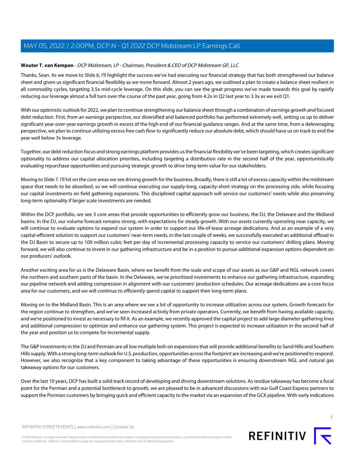## **Wouter T. van Kempen** - DCP Midstream, LP - Chairman, President & CEO of DCP Midstream GP, LLC

Thanks, Sean. As we move to Slide 6, I'll highlight the success we've had executing our financial strategy that has both strengthened our balance sheet and given us significant financial flexibility as we move forward. Almost 2 years ago, we outlined a plan to create a balance sheet resilient in all commodity cycles, targeting 3.5x mid-cycle leverage. On this slide, you can see the great progress we've made towards this goal by rapidly reducing our leverage almost a full turn over the course of the past year, going from 4.2x in Q2 last year to 3.3x as we exit Q1.

With our optimistic outlook for 2022, we plan to continue strengthening our balance sheet through a combination of earnings growth and focused debt reduction. First, from an earnings perspective, our diversified and balanced portfolio has performed extremely well, setting us up to deliver significant year-over-year earnings growth in excess of the high end of our financial guidance ranges. And at the same time, from a deleveraging perspective, we plan to continue utilizing excess free cash flow to significantly reduce our absolute debt, which should have us on track to end the year well below 3x leverage.

Together, our debt reduction focus and strong earnings platform provides us the financial flexibility we've been targeting, which creates significant optionality to address our capital allocation priorities, including targeting a distribution rate in the second half of the year, opportunistically evaluating repurchase opportunities and pursuing strategic growth to drive long-term value for our stakeholders.

Moving to Slide 7. I'll hit on the core areas we see driving growth for the business. Broadly, there is still a lot of excess capacity within the midstream space that needs to be absorbed, so we will continue executing our supply-long, capacity-short strategy on the processing side, while focusing our capital investments on field gathering expansions. This disciplined capital approach will service our customers' needs while also preserving long-term optionality if larger scale investments are needed.

Within the DCP portfolio, we see 3 core areas that provide opportunities to efficiently grow our business, the DJ, the Delaware and the Midland basins. In the DJ, our volume forecast remains strong, with expectations for steady growth. With our assets currently operating near capacity, we will continue to evaluate options to expand our system in order to support our life-of-lease acreage dedications. And as an example of a very capital-efficient solution to support our customers' near-term needs, in the last couple of weeks, we successfully executed an additional offload in the DJ Basin to secure up to 100 million cubic feet per day of incremental processing capacity to service our customers' drilling plans. Moving forward, we will also continue to invest in our gathering infrastructure and be in a position to pursue additional expansion options dependent on our producers' outlook.

Another exciting area for us is the Delaware Basin, where we benefit from the scale and scope of our assets as our G&P and NGL network covers the northern and southern parts of the basin. In the Delaware, we've prioritized investments to enhance our gathering infrastructure, expanding our pipeline network and adding compression in alignment with our customers' production schedules. Our acreage dedications are a core focus area for our customers, and we will continue to efficiently spend capital to support their long-term plans.

Moving on to the Midland Basin. This is an area where we see a lot of opportunity to increase utilization across our system. Growth forecasts for the region continue to strengthen, and we've seen increased activity from private operators. Currently, we benefit from having available capacity, and we're positioned to invest as necessary to fill it. As an example, we recently approved the capital project to add large diameter gathering lines and additional compression to optimize and enhance our gathering system. This project is expected to increase utilization in the second half of the year and position us to compete for incremental supply.

The G&P investments in the DJ and Permian are all low multiple bolt-on expansions that will provide additional benefits to Sand Hills and Southern Hills supply. With a strong long-term outlook for U.S. production, opportunities across the footprint are increasing and we're positioned to respond. However, we also recognize that a key component to taking advantage of these opportunities is ensuring downstream NGL and natural gas takeaway options for our customers.

Over the last 10 years, DCP has built a solid track record of developing and driving downstream solutions. As residue takeaway has become a focal point for the Permian and a potential bottleneck to growth, we are pleased to be in advanced discussions with our Gulf Coast Express partners to support the Permian customers by bringing quick and efficient capacity to the market via an expansion of the GCX pipeline. With early indications

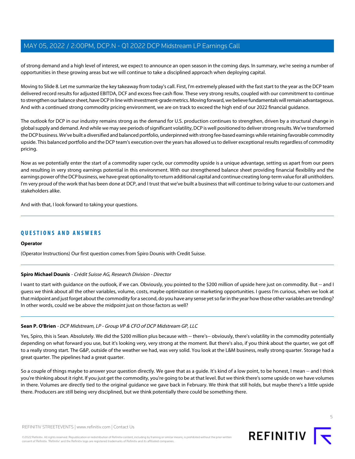of strong demand and a high level of interest, we expect to announce an open season in the coming days. In summary, we're seeing a number of opportunities in these growing areas but we will continue to take a disciplined approach when deploying capital.

Moving to Slide 8. Let me summarize the key takeaway from today's call. First, I'm extremely pleased with the fast start to the year as the DCP team delivered record results for adjusted EBITDA, DCF and excess free cash flow. These very strong results, coupled with our commitment to continue to strengthen our balance sheet, have DCP in line with investment-grade metrics. Moving forward, we believe fundamentals will remain advantageous. And with a continued strong commodity pricing environment, we are on track to exceed the high end of our 2022 financial guidance.

The outlook for DCP in our industry remains strong as the demand for U.S. production continues to strengthen, driven by a structural change in global supply and demand. And while we may see periods of significant volatility, DCP is well positioned to deliver strong results. We've transformed the DCP business. We've built a diversified and balanced portfolio, underpinned with strong fee-based earnings while retaining favorable commodity upside. This balanced portfolio and the DCP team's execution over the years has allowed us to deliver exceptional results regardless of commodity pricing.

Now as we potentially enter the start of a commodity super cycle, our commodity upside is a unique advantage, setting us apart from our peers and resulting in very strong earnings potential in this environment. With our strengthened balance sheet providing financial flexibility and the earnings power of the DCP business, we have great optionality to return additional capital and continue creating long-term value for all unitholders. I'm very proud of the work that has been done at DCP, and I trust that we've built a business that will continue to bring value to our customers and stakeholders alike.

And with that, I look forward to taking your questions.

## **QUESTIONS AND ANSWERS**

#### <span id="page-4-0"></span>**Operator**

(Operator Instructions) Our first question comes from Spiro Dounis with Credit Suisse.

#### **Spiro Michael Dounis** - Crédit Suisse AG, Research Division - Director

I want to start with guidance on the outlook, if we can. Obviously, you pointed to the \$200 million of upside here just on commodity. But -- and I guess we think about all the other variables, volume, costs, maybe optimization or marketing opportunities. I guess I'm curious, when we look at that midpoint and just forget about the commodity for a second, do you have any sense yet so far in the year how those other variables are trending? In other words, could we be above the midpoint just on those factors as well?

#### **Sean P. O'Brien** - DCP Midstream, LP - Group VP & CFO of DCP Midstream GP, LLC

Yes, Spiro, this is Sean. Absolutely. We did the \$200 million plus because with -- there's-- obviously, there's volatility in the commodity potentially depending on what forward you use, but it's looking very, very strong at the moment. But there's also, if you think about the quarter, we got off to a really strong start. The G&P, outside of the weather we had, was very solid. You look at the L&M business, really strong quarter. Storage had a great quarter. The pipelines had a great quarter.

So a couple of things maybe to answer your question directly. We gave that as a guide. It's kind of a low point, to be honest, I mean -- and I think you're thinking about it right. If you just get the commodity, you're going to be at that level. But we think there's some upside on we have volumes in there. Volumes are directly tied to the original guidance we gave back in February. We think that still holds, but maybe there's a little upside there. Producers are still being very disciplined, but we think potentially there could be something there.

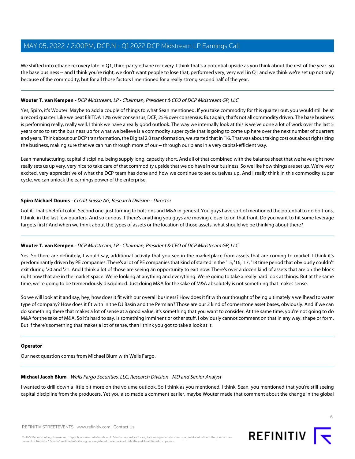We shifted into ethane recovery late in Q1, third-party ethane recovery. I think that's a potential upside as you think about the rest of the year. So the base business -- and I think you're right, we don't want people to lose that, performed very, very well in Q1 and we think we're set up not only because of the commodity, but for all those factors I mentioned for a really strong second half of the year.

#### **Wouter T. van Kempen** - DCP Midstream, LP - Chairman, President & CEO of DCP Midstream GP, LLC

Yes, Spiro, it's Wouter. Maybe to add a couple of things to what Sean mentioned. If you take commodity for this quarter out, you would still be at a record quarter. Like we beat EBITDA 12% over consensus; DCF, 25% over consensus. But again, that's not all commodity driven. The base business is performing really, really well. I think we have a really good outlook. The way we internally look at this is we've done a lot of work over the last 5 years or so to set the business up for what we believe is a commodity super cycle that is going to come up here over the next number of quarters and years. Think about our DCP transformation, the Digital 2.0 transformation, we started that in '16. That was about taking cost out about rightsizing the business, making sure that we can run through more of our -- through our plans in a very capital-efficient way.

Lean manufacturing, capital discipline, being supply long, capacity short. And all of that combined with the balance sheet that we have right now really sets us up very, very nice to take care of that commodity upside that we do have in our business. So we like how things are set up. We're very excited, very appreciative of what the DCP team has done and how we continue to set ourselves up. And I really think in this commodity super cycle, we can unlock the earnings power of the enterprise.

#### **Spiro Michael Dounis** - Crédit Suisse AG, Research Division - Director

Got it. That's helpful color. Second one, just turning to bolt-ons and M&A in general. You guys have sort of mentioned the potential to do bolt-ons, I think, in the last few quarters. And so curious if there's anything you guys are moving closer to on that front. Do you want to hit some leverage targets first? And when we think about the types of assets or the location of those assets, what should we be thinking about there?

#### **Wouter T. van Kempen** - DCP Midstream, LP - Chairman, President & CEO of DCP Midstream GP, LLC

Yes. So there are definitely, I would say, additional activity that you see in the marketplace from assets that are coming to market. I think it's predominantly driven by PE companies. There's a lot of PE companies that kind of started in the '15, '16, '17, '18 time period that obviously couldn't exit during '20 and '21. And I think a lot of those are seeing an opportunity to exit now. There's over a dozen kind of assets that are on the block right now that are in the market space. We're looking at anything and everything. We're going to take a really hard look at things. But at the same time, we're going to be tremendously disciplined. Just doing M&A for the sake of M&A absolutely is not something that makes sense.

So we will look at it and say, hey, how does it fit with our overall business? How does it fit with our thought of being ultimately a wellhead to water type of company? How does it fit with in the DJ Basin and the Permian? Those are our 2 kind of cornerstone asset bases, obviously. And if we can do something there that makes a lot of sense at a good value, it's something that you want to consider. At the same time, you're not going to do M&A for the sake of M&A. So it's hard to say. Is something imminent or other stuff, I obviously cannot comment on that in any way, shape or form. But if there's something that makes a lot of sense, then I think you got to take a look at it.

#### <span id="page-5-0"></span>**Operator**

Our next question comes from Michael Blum with Wells Fargo.

#### **Michael Jacob Blum** - Wells Fargo Securities, LLC, Research Division - MD and Senior Analyst

I wanted to drill down a little bit more on the volume outlook. So I think as you mentioned, I think, Sean, you mentioned that you're still seeing capital discipline from the producers. Yet you also made a comment earlier, maybe Wouter made that comment about the change in the global

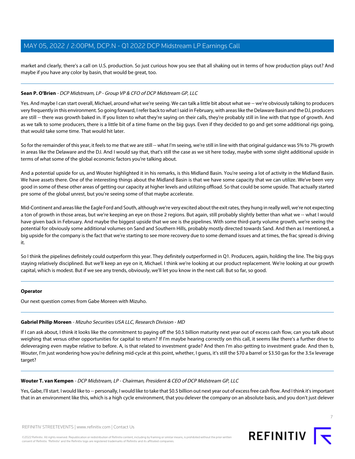market and clearly, there's a call on U.S. production. So just curious how you see that all shaking out in terms of how production plays out? And maybe if you have any color by basin, that would be great, too.

#### **Sean P. O'Brien** - DCP Midstream, LP - Group VP & CFO of DCP Midstream GP, LLC

Yes. And maybe I can start overall, Michael, around what we're seeing. We can talk a little bit about what we -- we're obviously talking to producers very frequently in this environment. So going forward, I refer back to what I said in February, with areas like the Delaware Basin and the DJ, producers are still -- there was growth baked in. If you listen to what they're saying on their calls, they're probably still in line with that type of growth. And as we talk to some producers, there is a little bit of a time frame on the big guys. Even if they decided to go and get some additional rigs going, that would take some time. That would hit later.

So for the remainder of this year, it feels to me that we are still -- what I'm seeing, we're still in line with that original guidance was 5% to 7% growth in areas like the Delaware and the DJ. And I would say that, that's still the case as we sit here today, maybe with some slight additional upside in terms of what some of the global economic factors you're talking about.

And a potential upside for us, and Wouter highlighted it in his remarks, is this Midland Basin. You're seeing a lot of activity in the Midland Basin. We have assets there. One of the interesting things about the Midland Basin is that we have some capacity that we can utilize. We've been very good in some of these other areas of getting our capacity at higher levels and utilizing offload. So that could be some upside. That actually started pre some of the global unrest, but you're seeing some of that maybe accelerate.

Mid-Continent and areas like the Eagle Ford and South, although we're very excited about the exit rates, they hung in really well, we're not expecting a ton of growth in those areas, but we're keeping an eye on those 2 regions. But again, still probably slightly better than what we -- what I would have given back in February. And maybe the biggest upside that we see is the pipelines. With some third-party volume growth, we're seeing the potential for obviously some additional volumes on Sand and Southern Hills, probably mostly directed towards Sand. And then as I mentioned, a big upside for the company is the fact that we're starting to see more recovery due to some demand issues and at times, the frac spread is driving it.

So I think the pipelines definitely could outperform this year. They definitely outperformed in Q1. Producers, again, holding the line. The big guys staying relatively disciplined. But we'll keep an eye on it, Michael. I think we're looking at our product replacement. We're looking at our growth capital, which is modest. But if we see any trends, obviously, we'll let you know in the next call. But so far, so good.

#### <span id="page-6-0"></span>**Operator**

Our next question comes from Gabe Moreen with Mizuho.

#### **Gabriel Philip Moreen** - Mizuho Securities USA LLC, Research Division - MD

If I can ask about, I think it looks like the commitment to paying off the \$0.5 billion maturity next year out of excess cash flow, can you talk about weighing that versus other opportunities for capital to return? If I'm maybe hearing correctly on this call, it seems like there's a further drive to deleveraging even maybe relative to before. A, is that related to investment grade? And then I'm also getting to investment grade. And then b, Wouter, I'm just wondering how you're defining mid-cycle at this point, whether, I guess, it's still the \$70 a barrel or \$3.50 gas for the 3.5x leverage target?

#### **Wouter T. van Kempen** - DCP Midstream, LP - Chairman, President & CEO of DCP Midstream GP, LLC

Yes, Gabe, I'll start. I would like to -- personally, I would like to take that \$0.5 billion out next year out of excess free cash flow. And I think it's important that in an environment like this, which is a high cycle environment, that you delever the company on an absolute basis, and you don't just delever

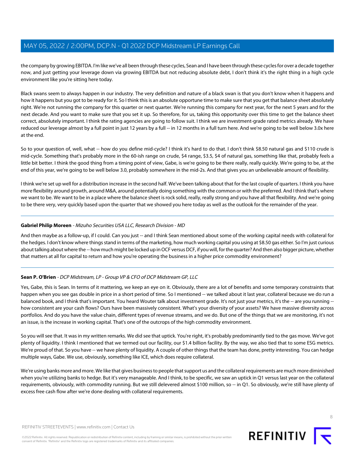the company by growing EBITDA. I'm like we've all been through these cycles, Sean and I have been through these cycles for over a decade together now, and just getting your leverage down via growing EBITDA but not reducing absolute debt, I don't think it's the right thing in a high cycle environment like you're sitting here today.

Black swans seem to always happen in our industry. The very definition and nature of a black swan is that you don't know when it happens and how it happens but you got to be ready for it. So I think this is an absolute opportune time to make sure that you get that balance sheet absolutely right. We're not running the company for this quarter or next quarter. We're running this company for next year, for the next 5 years and for the next decade. And you want to make sure that you set it up. So therefore, for us, taking this opportunity over this time to get the balance sheet correct, absolutely important. I think the rating agencies are going to follow suit. I think we are investment-grade rated metrics already. We have reduced our leverage almost by a full point in just 12 years by a full -- in 12 months in a full turn here. And we're going to be well below 3.0x here at the end.

So to your question of, well, what -- how do you define mid-cycle? I think it's hard to do that. I don't think \$8.50 natural gas and \$110 crude is mid-cycle. Something that's probably more in the 60-ish range on crude, \$4 range, \$3.5, \$4 of natural gas, something like that, probably feels a little bit better. I think the good thing from a timing point of view, Gabe, is we're going to be there really, really quickly. We're going to be, at the end of this year, we're going to be well below 3.0, probably somewhere in the mid-2s. And that gives you an unbelievable amount of flexibility.

I think we're set up well for a distribution increase in the second half. We've been talking about that for the last couple of quarters. I think you have more flexibility around growth, around M&A, around potentially doing something with the common or with the preferred. And I think that's where we want to be. We want to be in a place where the balance sheet is rock solid, really, really strong and you have all that flexibility. And we're going to be there very, very quickly based upon the quarter that we showed you here today as well as the outlook for the remainder of the year.

#### **Gabriel Philip Moreen** - Mizuho Securities USA LLC, Research Division - MD

And then maybe as a follow-up, if I could. Can you just -- and I think Sean mentioned about some of the working capital needs with collateral for the hedges. I don't know where things stand in terms of the marketing, how much working capital you using at \$8.50 gas either. So I'm just curious about talking about where the -- how much might be locked up in OCF versus DCF, if you will, for the quarter? And then also bigger picture, whether that matters at all for capital to return and how you're operating the business in a higher price commodity environment?

## **Sean P. O'Brien** - DCP Midstream, LP - Group VP & CFO of DCP Midstream GP, LLC

Yes, Gabe, this is Sean. In terms of it mattering, we keep an eye on it. Obviously, there are a lot of benefits and some temporary constraints that happen when you see gas double in price in a short period of time. So I mentioned -- we talked about it last year, collateral because we do run a balanced book, and I think that's important. You heard Wouter talk about investment grade. It's not just your metrics, it's the -- are you running -how consistent are your cash flows? Ours have been massively consistent. What's your diversity of your assets? We have massive diversity across portfolios. And do you have the value chain, different types of revenue streams, and we do. But one of the things that we are monitoring, it's not an issue, is the increase in working capital. That's one of the outcrops of the high commodity environment.

So you will see that. It was in my written remarks. We did see that uptick. You're right, it's probably predominantly tied to the gas move. We've got plenty of liquidity. I think I mentioned that we termed out our facility, our \$1.4 billion facility. By the way, we also tied that to some ESG metrics. We're proud of that. So you have -- we have plenty of liquidity. A couple of other things that the team has done, pretty interesting. You can hedge multiple ways, Gabe. We use, obviously, something like ICE, which does require collateral.

We're using banks more and more. We like that gives business to people that support us and the collateral requirements are much more diminished when you're utilizing banks to hedge. But it's very manageable. And I think, to be specific, we saw an uptick in Q1 versus last year on the collateral requirements, obviously, with commodity running. But we still delevered almost \$100 million, so -- in Q1. So obviously, we're still have plenty of excess free cash flow after we're done dealing with collateral requirements.

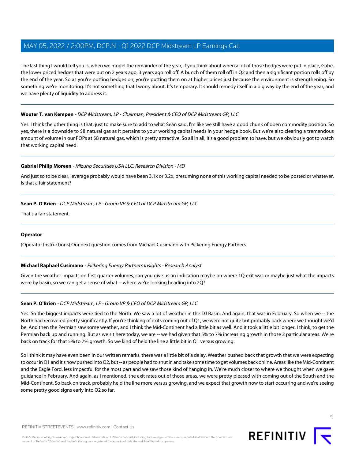The last thing I would tell you is, when we model the remainder of the year, if you think about when a lot of those hedges were put in place, Gabe, the lower priced hedges that were put on 2 years ago, 3 years ago roll off. A bunch of them roll off in Q2 and then a significant portion rolls off by the end of the year. So as you're putting hedges on, you're putting them on at higher prices just because the environment is strengthening. So something we're monitoring. It's not something that I worry about. It's temporary. It should remedy itself in a big way by the end of the year, and we have plenty of liquidity to address it.

#### **Wouter T. van Kempen** - DCP Midstream, LP - Chairman, President & CEO of DCP Midstream GP, LLC

Yes. I think the other thing is that, just to make sure to add to what Sean said, I'm like we still have a good chunk of open commodity position. So yes, there is a downside to \$8 natural gas as it pertains to your working capital needs in your hedge book. But we're also clearing a tremendous amount of volume in our POPs at \$8 natural gas, which is pretty attractive. So all in all, it's a good problem to have, but we obviously got to watch that working capital need.

#### **Gabriel Philip Moreen** - Mizuho Securities USA LLC, Research Division - MD

And just so to be clear, leverage probably would have been 3.1x or 3.2x, presuming none of this working capital needed to be posted or whatever. Is that a fair statement?

#### **Sean P. O'Brien** - DCP Midstream, LP - Group VP & CFO of DCP Midstream GP, LLC

That's a fair statement.

#### <span id="page-8-0"></span>**Operator**

(Operator Instructions) Our next question comes from Michael Cusimano with Pickering Energy Partners.

#### **Michael Raphael Cusimano** - Pickering Energy Partners Insights - Research Analyst

Given the weather impacts on first quarter volumes, can you give us an indication maybe on where 1Q exit was or maybe just what the impacts were by basin, so we can get a sense of what -- where we're looking heading into 2Q?

## **Sean P. O'Brien** - DCP Midstream, LP - Group VP & CFO of DCP Midstream GP, LLC

Yes. So the biggest impacts were tied to the North. We saw a lot of weather in the DJ Basin. And again, that was in February. So when we -- the North had recovered pretty significantly. If you're thinking of exits coming out of Q1, we were not quite but probably back where we thought we'd be. And then the Permian saw some weather, and I think the Mid-Continent had a little bit as well. And it took a little bit longer, I think, to get the Permian back up and running. But as we sit here today, we are -- we had given that 5% to 7% increasing growth in those 2 particular areas. We're back on track for that 5% to 7% growth. So we kind of held the line a little bit in Q1 versus growing.

So I think it may have even been in our written remarks, there was a little bit of a delay. Weather pushed back that growth that we were expecting to occur in Q1 and it's now pushed into Q2, but -- as people had to shut in and take some time to get volumes back online. Areas like the Mid-Continent and the Eagle Ford, less impactful for the most part and we saw those kind of hanging in. We're much closer to where we thought when we gave guidance in February. And again, as I mentioned, the exit rates out of those areas, we were pretty pleased with coming out of the South and the Mid-Continent. So back on track, probably held the line more versus growing, and we expect that growth now to start occurring and we're seeing some pretty good signs early into Q2 so far.



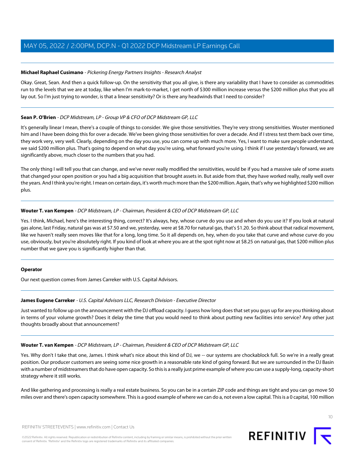#### **Michael Raphael Cusimano** - Pickering Energy Partners Insights - Research Analyst

Okay. Great, Sean. And then a quick follow-up. On the sensitivity that you all give, is there any variability that I have to consider as commodities run to the levels that we are at today, like when I'm mark-to-market, I get north of \$300 million increase versus the \$200 million plus that you all lay out. So I'm just trying to wonder, is that a linear sensitivity? Or is there any headwinds that I need to consider?

#### **Sean P. O'Brien** - DCP Midstream, LP - Group VP & CFO of DCP Midstream GP, LLC

It's generally linear I mean, there's a couple of things to consider. We give those sensitivities. They're very strong sensitivities. Wouter mentioned him and I have been doing this for over a decade. We've been giving those sensitivities for over a decade. And if I stress test them back over time, they work very, very well. Clearly, depending on the day you use, you can come up with much more. Yes, I want to make sure people understand, we said \$200 million plus. That's going to depend on what day you're using, what forward you're using. I think if I use yesterday's forward, we are significantly above, much closer to the numbers that you had.

The only thing I will tell you that can change, and we've never really modified the sensitivities, would be if you had a massive sale of some assets that changed your open position or you had a big acquisition that brought assets in. But aside from that, they have worked really, really well over the years. And I think you're right. I mean on certain days, it's worth much more than the \$200 million. Again, that's why we highlighted \$200 million plus.

#### **Wouter T. van Kempen** - DCP Midstream, LP - Chairman, President & CEO of DCP Midstream GP, LLC

Yes. I think, Michael, here's the interesting thing, correct? It's always, hey, whose curve do you use and when do you use it? If you look at natural gas alone, last Friday, natural gas was at \$7.50 and we, yesterday, were at \$8.70 for natural gas, that's \$1.20. So think about that radical movement, like we haven't really seen moves like that for a long, long time. So it all depends on, hey, when do you take that curve and whose curve do you use, obviously, but you're absolutely right. If you kind of look at where you are at the spot right now at \$8.25 on natural gas, that \$200 million plus number that we gave you is significantly higher than that.

#### <span id="page-9-0"></span>**Operator**

Our next question comes from James Carreker with U.S. Capital Advisors.

#### **James Eugene Carreker** - U.S. Capital Advisors LLC, Research Division - Executive Director

Just wanted to follow up on the announcement with the DJ offload capacity. I guess how long does that set you guys up for are you thinking about in terms of your volume growth? Does it delay the time that you would need to think about putting new facilities into service? Any other just thoughts broadly about that announcement?

#### **Wouter T. van Kempen** - DCP Midstream, LP - Chairman, President & CEO of DCP Midstream GP, LLC

Yes. Why don't I take that one, James. I think what's nice about this kind of DJ, we -- our systems are chockablock full. So we're in a really great position. Our producer customers are seeing some nice growth in a reasonable rate kind of going forward. But we are surrounded in the DJ Basin with a number of midstreamers that do have open capacity. So this is a really just prime example of where you can use a supply-long, capacity-short strategy where it still works.

And like gathering and processing is really a real estate business. So you can be in a certain ZIP code and things are tight and you can go move 50 miles over and there's open capacity somewhere. This is a good example of where we can do a, not even a low capital. This is a 0 capital, 100 million

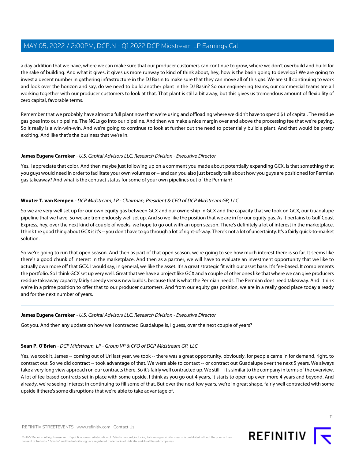a day addition that we have, where we can make sure that our producer customers can continue to grow, where we don't overbuild and build for the sake of building. And what it gives, it gives us more runway to kind of think about, hey, how is the basin going to develop? We are going to invest a decent number in gathering infrastructure in the DJ Basin to make sure that they can move all of this gas. We are still continuing to work and look over the horizon and say, do we need to build another plant in the DJ Basin? So our engineering teams, our commercial teams are all working together with our producer customers to look at that. That plant is still a bit away, but this gives us tremendous amount of flexibility of zero capital, favorable terms.

Remember that we probably have almost a full plant now that we're using and offloading where we didn't have to spend \$1 of capital. The residue gas goes into our pipeline. The NGLs go into our pipeline. And then we make a nice margin over and above the processing fee that we're paying. So it really is a win-win-win. And we're going to continue to look at further out the need to potentially build a plant. And that would be pretty exciting. And like that's the business that we're in.

#### **James Eugene Carreker** - U.S. Capital Advisors LLC, Research Division - Executive Director

Yes. I appreciate that color. And then maybe just following up on a comment you made about potentially expanding GCX. Is that something that you guys would need in order to facilitate your own volumes or -- and can you also just broadly talk about how you guys are positioned for Permian gas takeaway? And what is the contract status for some of your own pipelines out of the Permian?

#### **Wouter T. van Kempen** - DCP Midstream, LP - Chairman, President & CEO of DCP Midstream GP, LLC

So we are very well set up for our own equity gas between GCX and our ownership in GCX and the capacity that we took on GCX, our Guadalupe pipeline that we have. So we are tremendously well set up. And so we like the position that we are in for our equity gas. As it pertains to Gulf Coast Express, hey, over the next kind of couple of weeks, we hope to go out with an open season. There's definitely a lot of interest in the marketplace. I think the good thing about GCX is it's -- you don't have to go through a lot of right-of-way. There's not a lot of uncertainty. It's a fairly quick-to-market solution.

So we're going to run that open season. And then as part of that open season, we're going to see how much interest there is so far. It seems like there's a good chunk of interest in the marketplace. And then as a partner, we will have to evaluate an investment opportunity that we like to actually own more off that GCX. I would say, in general, we like the asset. It's a great strategic fit with our asset base. It's fee-based. It complements the portfolio. So I think GCX set up very well. Great that we have a project like GCX and a couple of other ones like that where we can give producers residue takeaway capacity fairly speedy versus new builds, because that is what the Permian needs. The Permian does need takeaway. And I think we're in a prime position to offer that to our producer customers. And from our equity gas position, we are in a really good place today already and for the next number of years.

#### **James Eugene Carreker** - U.S. Capital Advisors LLC, Research Division - Executive Director

Got you. And then any update on how well contracted Guadalupe is, I guess, over the next couple of years?

## **Sean P. O'Brien** - DCP Midstream, LP - Group VP & CFO of DCP Midstream GP, LLC

Yes, we took it, James -- coming out of Uri last year, we took -- there was a great opportunity, obviously, for people came in for demand, right, to contract out. So we did contract -- took advantage of that. We were able to contact -- or contract out Guadalupe over the next 5 years. We always take a very long view approach on our contracts there. So it's fairly well contracted up. We still -- it's similar to the company in terms of the overview. A lot of fee-based contracts set in place with some upside. I think as you go out 4 years, it starts to open up even more 4 years and beyond. And already, we're seeing interest in continuing to fill some of that. But over the next few years, we're in great shape, fairly well contracted with some upside if there's some disruptions that we're able to take advantage of.